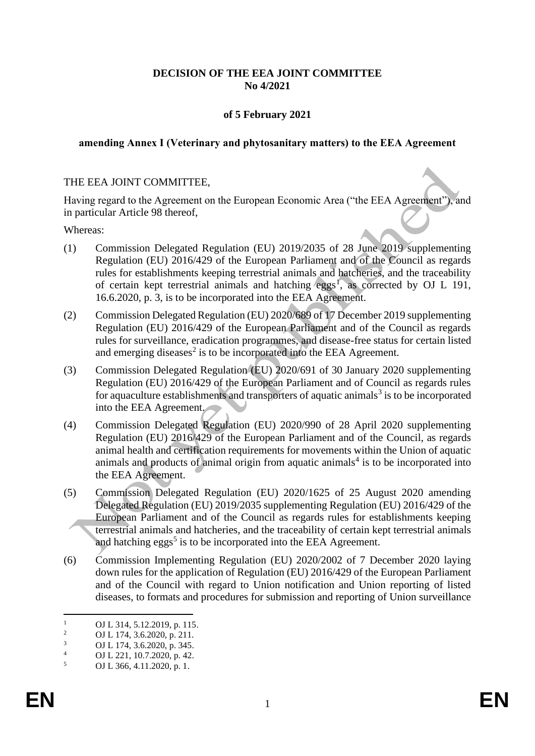## **DECISION OF THE EEA JOINT COMMITTEE No 4/2021**

## **of 5 February 2021**

#### **amending Annex I (Veterinary and phytosanitary matters) to the EEA Agreement**

#### THE EEA JOINT COMMITTEE,

Having regard to the Agreement on the European Economic Area ("the EEA Agreement"), and in particular Article 98 thereof,

Whereas:

- (1) Commission Delegated Regulation (EU) 2019/2035 of 28 June 2019 supplementing Regulation (EU) 2016/429 of the European Parliament and of the Council as regards rules for establishments keeping terrestrial animals and hatcheries, and the traceability of certain kept terrestrial animals and hatching eggs<sup>1</sup>, as corrected by OJ L 191, 16.6.2020, p. 3, is to be incorporated into the EEA Agreement.
- (2) Commission Delegated Regulation (EU) 2020/689 of 17 December 2019 supplementing Regulation (EU) 2016/429 of the European Parliament and of the Council as regards rules for surveillance, eradication programmes, and disease-free status for certain listed and emerging diseases<sup>2</sup> is to be incorporated into the EEA Agreement.
- (3) Commission Delegated Regulation (EU) 2020/691 of 30 January 2020 supplementing Regulation (EU) 2016/429 of the European Parliament and of Council as regards rules for aquaculture establishments and transporters of aquatic animals<sup>3</sup> is to be incorporated into the EEA Agreement.
- (4) Commission Delegated Regulation (EU) 2020/990 of 28 April 2020 supplementing Regulation (EU) 2016/429 of the European Parliament and of the Council, as regards animal health and certification requirements for movements within the Union of aquatic animals and products of animal origin from aquatic animals<sup>4</sup> is to be incorporated into the EEA Agreement.
- (5) Commission Delegated Regulation (EU) 2020/1625 of 25 August 2020 amending Delegated Regulation (EU) 2019/2035 supplementing Regulation (EU) 2016/429 of the European Parliament and of the Council as regards rules for establishments keeping terrestrial animals and hatcheries, and the traceability of certain kept terrestrial animals and hatching eggs<sup>5</sup> is to be incorporated into the EEA Agreement.
- (6) Commission Implementing Regulation (EU) 2020/2002 of 7 December 2020 laying down rules for the application of Regulation (EU) 2016/429 of the European Parliament and of the Council with regard to Union notification and Union reporting of listed diseases, to formats and procedures for submission and reporting of Union surveillance

<sup>&</sup>lt;sup>1</sup> OJ L 314, 5.12.2019, p. 115.<br><sup>2</sup> OJ L 174, 2.6.2020, p. 211.

<sup>&</sup>lt;sup>2</sup> OJ L 174, 3.6.2020, p. 211.

 $\frac{3}{4}$  OJ L 174, 3.6.2020, p. 345.

 $^{4}$  OJ L 221, 10.7.2020, p. 42.<br>OJ L 366 4 11 2020 p. 1

<sup>5</sup> OJ L 366, 4.11.2020, p. 1.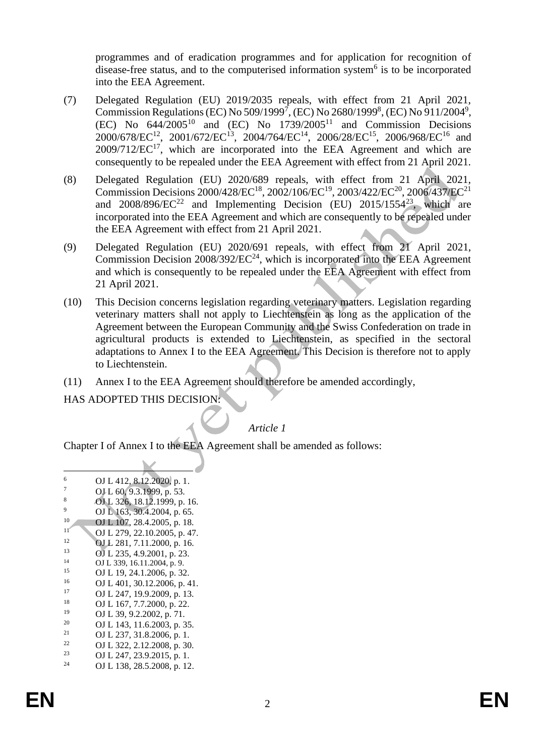programmes and of eradication programmes and for application for recognition of disease-free status, and to the computerised information system<sup>6</sup> is to be incorporated into the EEA Agreement.

- (7) Delegated Regulation (EU) 2019/2035 repeals, with effect from 21 April 2021, Commission Regulations (EC) No 509/1999<sup>7</sup>, (EC) No 2680/1999<sup>8</sup>, (EC) No 911/2004<sup>9</sup>, (EC) No  $644/2005^{10}$  and (EC) No  $1739/2005^{11}$  and Commission Decisions  $2000/678/EC^{12}$ ,  $2001/672/EC^{13}$ ,  $2004/764/EC^{14}$ ,  $2006/28/EC^{15}$ ,  $2006/968/EC^{16}$  and  $2009/712/EC^{17}$ , which are incorporated into the EEA Agreement and which are consequently to be repealed under the EEA Agreement with effect from 21 April 2021.
- (8) Delegated Regulation (EU) 2020/689 repeals, with effect from 21 April 2021, Commission Decisions 2000/428/EC<sup>18</sup>, 2002/106/EC<sup>19</sup>, 2003/422/EC<sup>20</sup>, 2006/437/EC<sup>21</sup> and  $2008/896/EC^{22}$  and Implementing Decision (EU)  $2015/1554^{23}$ , which are incorporated into the EEA Agreement and which are consequently to be repealed under the EEA Agreement with effect from 21 April 2021.
- (9) Delegated Regulation (EU) 2020/691 repeals, with effect from 21 April 2021, Commission Decision  $2008/392/EC^{24}$ , which is incorporated into the EEA Agreement and which is consequently to be repealed under the EEA Agreement with effect from 21 April 2021.
- (10) This Decision concerns legislation regarding veterinary matters. Legislation regarding veterinary matters shall not apply to Liechtenstein as long as the application of the Agreement between the European Community and the Swiss Confederation on trade in agricultural products is extended to Liechtenstein, as specified in the sectoral adaptations to Annex I to the EEA Agreement. This Decision is therefore not to apply to Liechtenstein.
- (11) Annex I to the EEA Agreement should therefore be amended accordingly,

## HAS ADOPTED THIS DECISION:

# *Article 1*

Chapter I of Annex I to the EEA Agreement shall be amended as follows:

| 6  | OJ L 412, 8.12.2020, p. 1.   |
|----|------------------------------|
| 7  | OJ L 60, 9.3.1999, p. 53.    |
| 8  | OJ L 326, 18.12.1999, p. 16. |
| 9  | OJ L 163, 30.4.2004, p. 65.  |
| 10 | OJ L 107, 28.4.2005, p. 18.  |
| 11 | OJ L 279, 22.10.2005, p. 47. |
| 12 | OJ L 281, 7.11.2000, p. 16.  |
| 13 | OJ L 235, 4.9.2001, p. 23.   |
| 14 | OJ L 339, 16.11.2004, p. 9.  |
| 15 | OJ L 19, 24.1.2006, p. 32.   |
| 16 | OJ L 401, 30.12.2006, p. 41. |
| 17 | OJ L 247, 19.9.2009, p. 13.  |
| 18 | OJ L 167, 7.7.2000, p. 22.   |
| 19 | OJ L 39, 9.2.2002, p. 71.    |
| 20 | OJ L 143, 11.6.2003, p. 35.  |
| 21 | OJ L 237, 31.8.2006, p. 1.   |
| 22 | OJ L 322, 2.12.2008, p. 30.  |
| 23 | OJ L 247, 23.9.2015, p. 1.   |
| 24 | OJ L 138, 28.5.2008, p. 12.  |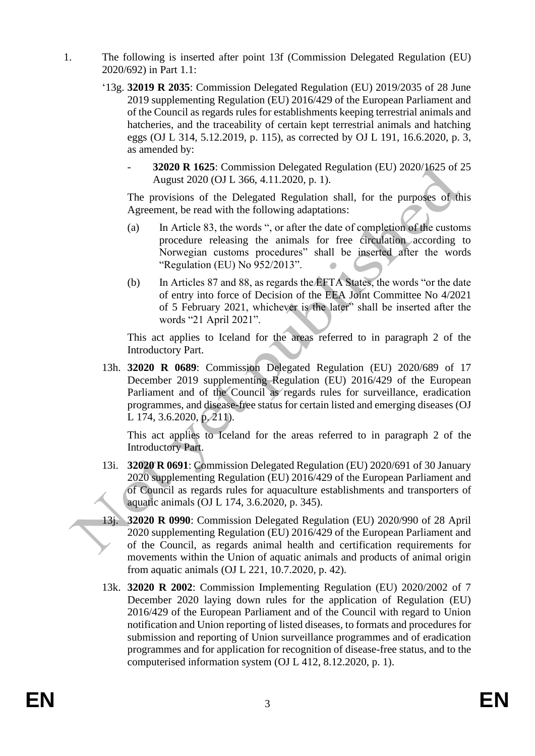- 1. The following is inserted after point 13f (Commission Delegated Regulation (EU) 2020/692) in Part 1.1:
	- '13g. **32019 R 2035**: Commission Delegated Regulation (EU) 2019/2035 of 28 June 2019 supplementing Regulation (EU) 2016/429 of the European Parliament and of the Council as regards rules for establishments keeping terrestrial animals and hatcheries, and the traceability of certain kept terrestrial animals and hatching eggs (OJ L 314, 5.12.2019, p. 115), as corrected by OJ L 191, 16.6.2020, p. 3, as amended by:
		- **32020 R 1625**: Commission Delegated Regulation (EU) 2020/1625 of 25 August 2020 (OJ L 366, 4.11.2020, p. 1).

The provisions of the Delegated Regulation shall, for the purposes of this Agreement, be read with the following adaptations:

- (a) In Article 83, the words ", or after the date of completion of the customs procedure releasing the animals for free circulation according to Norwegian customs procedures" shall be inserted after the words "Regulation (EU) No 952/2013".
- (b) In Articles 87 and 88, as regards the EFTA States, the words "or the date of entry into force of Decision of the EEA Joint Committee No 4/2021 of 5 February 2021, whichever is the later" shall be inserted after the words "21 April 2021".

This act applies to Iceland for the areas referred to in paragraph 2 of the Introductory Part.

13h. **32020 R 0689**: Commission Delegated Regulation (EU) 2020/689 of 17 December 2019 supplementing Regulation (EU) 2016/429 of the European Parliament and of the Council as regards rules for surveillance, eradication programmes, and disease-free status for certain listed and emerging diseases (OJ L 174, 3.6.2020, p. 211).

This act applies to Iceland for the areas referred to in paragraph 2 of the Introductory Part.

- 13i. **32020 R 0691**: Commission Delegated Regulation (EU) 2020/691 of 30 January 2020 supplementing Regulation (EU) 2016/429 of the European Parliament and of Council as regards rules for aquaculture establishments and transporters of aquatic animals (OJ L 174, 3.6.2020, p. 345).
- 13j. **32020 R 0990**: Commission Delegated Regulation (EU) 2020/990 of 28 April 2020 supplementing Regulation (EU) 2016/429 of the European Parliament and of the Council, as regards animal health and certification requirements for movements within the Union of aquatic animals and products of animal origin from aquatic animals (OJ L 221, 10.7.2020, p. 42).
- 13k. **32020 R 2002**: Commission Implementing Regulation (EU) 2020/2002 of 7 December 2020 laying down rules for the application of Regulation (EU) 2016/429 of the European Parliament and of the Council with regard to Union notification and Union reporting of listed diseases, to formats and procedures for submission and reporting of Union surveillance programmes and of eradication programmes and for application for recognition of disease-free status, and to the computerised information system (OJ L 412, 8.12.2020, p. 1).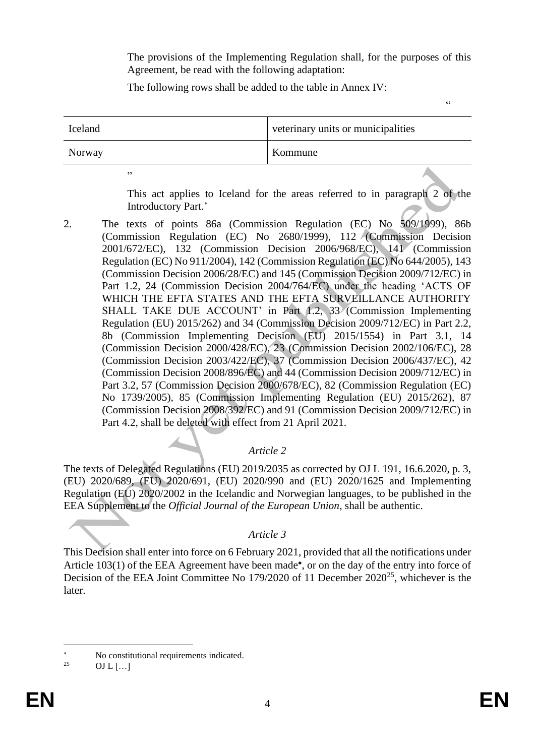The provisions of the Implementing Regulation shall, for the purposes of this Agreement, be read with the following adaptation:

"

The following rows shall be added to the table in Annex IV:

| Iceland | veterinary units or municipalities |
|---------|------------------------------------|
| Norway  | Kommune                            |

"

This act applies to Iceland for the areas referred to in paragraph 2 of the Introductory Part.'

2. The texts of points 86a (Commission Regulation (EC) No 509/1999), 86b (Commission Regulation (EC) No 2680/1999), 112 (Commission Decision 2001/672/EC), 132 (Commission Decision 2006/968/EC), 141 (Commission Regulation (EC) No 911/2004), 142 (Commission Regulation (EC) No 644/2005), 143 (Commission Decision 2006/28/EC) and 145 (Commission Decision 2009/712/EC) in Part 1.2, 24 (Commission Decision 2004/764/EC) under the heading 'ACTS OF WHICH THE EFTA STATES AND THE EFTA SURVEILLANCE AUTHORITY SHALL TAKE DUE ACCOUNT' in Part 1.2, 33 (Commission Implementing Regulation (EU) 2015/262) and 34 (Commission Decision 2009/712/EC) in Part 2.2, 8b (Commission Implementing Decision (EU) 2015/1554) in Part 3.1, 14 (Commission Decision 2000/428/EC), 23 (Commission Decision 2002/106/EC), 28 (Commission Decision 2003/422/EC), 37 (Commission Decision 2006/437/EC), 42 (Commission Decision 2008/896/EC) and 44 (Commission Decision 2009/712/EC) in Part 3.2, 57 (Commission Decision 2000/678/EC), 82 (Commission Regulation (EC) No 1739/2005), 85 (Commission Implementing Regulation (EU) 2015/262), 87 (Commission Decision 2008/392/EC) and 91 (Commission Decision 2009/712/EC) in Part 4.2, shall be deleted with effect from 21 April 2021.

# *Article 2*

The texts of Delegated Regulations (EU) 2019/2035 as corrected by OJ L 191, 16.6.2020, p. 3, (EU) 2020/689, (EU) 2020/691, (EU) 2020/990 and (EU) 2020/1625 and Implementing Regulation (EU) 2020/2002 in the Icelandic and Norwegian languages, to be published in the EEA Supplement to the *Official Journal of the European Union*, shall be authentic.

# *Article 3*

This Decision shall enter into force on 6 February 2021, provided that all the notifications under Article 103(1) of the EEA Agreement have been made\*, or on the day of the entry into force of Decision of the EEA Joint Committee No 179/2020 of 11 December 2020<sup>25</sup>, whichever is the later.

<sup>\*</sup> No constitutional requirements indicated.

OJ L  $[...]$